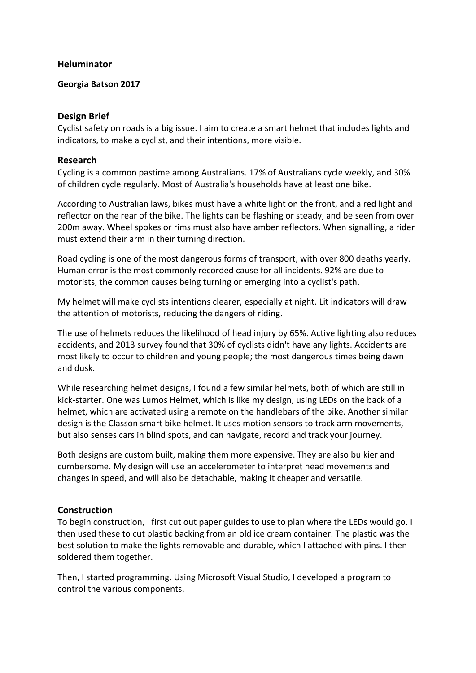### **Heluminator**

### **Georgia Batson 2017**

### **Design Brief**

Cyclist safety on roads is a big issue. I aim to create a smart helmet that includes lights and indicators, to make a cyclist, and their intentions, more visible.

### **Research**

Cycling is a common pastime among Australians. 17% of Australians cycle weekly, and 30% of children cycle regularly. Most of Australia's households have at least one bike.

According to Australian laws, bikes must have a white light on the front, and a red light and reflector on the rear of the bike. The lights can be flashing or steady, and be seen from over 200m away. Wheel spokes or rims must also have amber reflectors. When signalling, a rider must extend their arm in their turning direction.

Road cycling is one of the most dangerous forms of transport, with over 800 deaths yearly. Human error is the most commonly recorded cause for all incidents. 92% are due to motorists, the common causes being turning or emerging into a cyclist's path.

My helmet will make cyclists intentions clearer, especially at night. Lit indicators will draw the attention of motorists, reducing the dangers of riding.

The use of helmets reduces the likelihood of head injury by 65%. Active lighting also reduces accidents, and 2013 survey found that 30% of cyclists didn't have any lights. Accidents are most likely to occur to children and young people; the most dangerous times being dawn and dusk.

While researching helmet designs, I found a few similar helmets, both of which are still in kick-starter. One was Lumos Helmet, which is like my design, using LEDs on the back of a helmet, which are activated using a remote on the handlebars of the bike. Another similar design is the Classon smart bike helmet. It uses motion sensors to track arm movements, but also senses cars in blind spots, and can navigate, record and track your journey.

Both designs are custom built, making them more expensive. They are also bulkier and cumbersome. My design will use an accelerometer to interpret head movements and changes in speed, and will also be detachable, making it cheaper and versatile.

# **Construction**

To begin construction, I first cut out paper guides to use to plan where the LEDs would go. I then used these to cut plastic backing from an old ice cream container. The plastic was the best solution to make the lights removable and durable, which I attached with pins. I then soldered them together.

Then, I started programming. Using Microsoft Visual Studio, I developed a program to control the various components.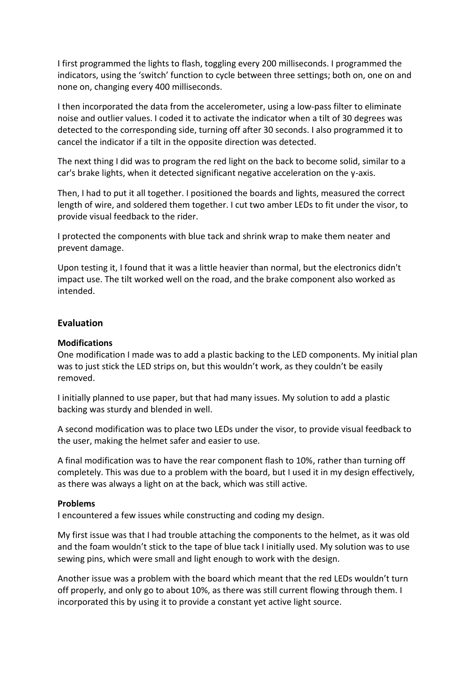I first programmed the lights to flash, toggling every 200 milliseconds. I programmed the indicators, using the 'switch' function to cycle between three settings; both on, one on and none on, changing every 400 milliseconds.

I then incorporated the data from the accelerometer, using a low-pass filter to eliminate noise and outlier values. I coded it to activate the indicator when a tilt of 30 degrees was detected to the corresponding side, turning off after 30 seconds. I also programmed it to cancel the indicator if a tilt in the opposite direction was detected.

The next thing I did was to program the red light on the back to become solid, similar to a car's brake lights, when it detected significant negative acceleration on the y-axis.

Then, I had to put it all together. I positioned the boards and lights, measured the correct length of wire, and soldered them together. I cut two amber LEDs to fit under the visor, to provide visual feedback to the rider.

I protected the components with blue tack and shrink wrap to make them neater and prevent damage.

Upon testing it, I found that it was a little heavier than normal, but the electronics didn't impact use. The tilt worked well on the road, and the brake component also worked as intended.

### **Evaluation**

#### **Modifications**

One modification I made was to add a plastic backing to the LED components. My initial plan was to just stick the LED strips on, but this wouldn't work, as they couldn't be easily removed.

I initially planned to use paper, but that had many issues. My solution to add a plastic backing was sturdy and blended in well.

A second modification was to place two LEDs under the visor, to provide visual feedback to the user, making the helmet safer and easier to use.

A final modification was to have the rear component flash to 10%, rather than turning off completely. This was due to a problem with the board, but I used it in my design effectively, as there was always a light on at the back, which was still active.

#### **Problems**

I encountered a few issues while constructing and coding my design.

My first issue was that I had trouble attaching the components to the helmet, as it was old and the foam wouldn't stick to the tape of blue tack I initially used. My solution was to use sewing pins, which were small and light enough to work with the design.

Another issue was a problem with the board which meant that the red LEDs wouldn't turn off properly, and only go to about 10%, as there was still current flowing through them. I incorporated this by using it to provide a constant yet active light source.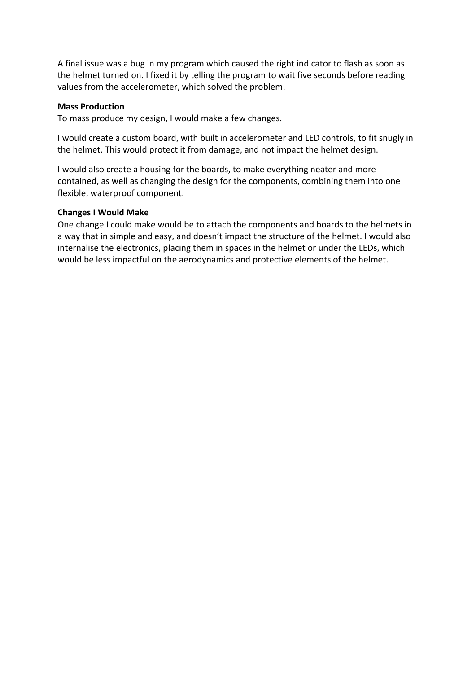A final issue was a bug in my program which caused the right indicator to flash as soon as the helmet turned on. I fixed it by telling the program to wait five seconds before reading values from the accelerometer, which solved the problem.

### **Mass Production**

To mass produce my design, I would make a few changes.

I would create a custom board, with built in accelerometer and LED controls, to fit snugly in the helmet. This would protect it from damage, and not impact the helmet design.

I would also create a housing for the boards, to make everything neater and more contained, as well as changing the design for the components, combining them into one flexible, waterproof component.

### **Changes I Would Make**

One change I could make would be to attach the components and boards to the helmets in a way that in simple and easy, and doesn't impact the structure of the helmet. I would also internalise the electronics, placing them in spaces in the helmet or under the LEDs, which would be less impactful on the aerodynamics and protective elements of the helmet.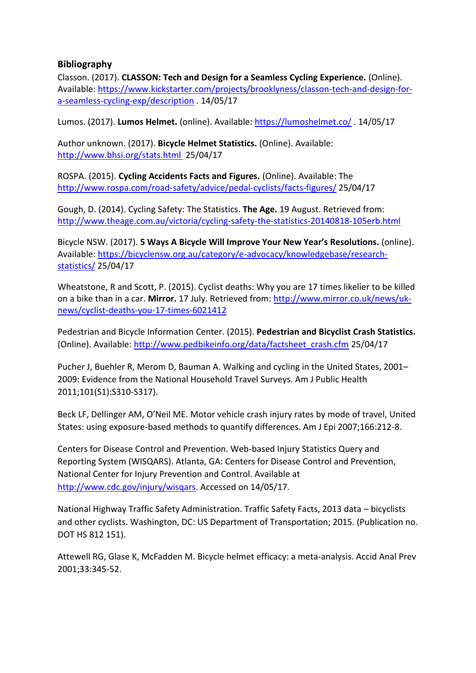# **Bibliography**

Classon. (2017). **CLASSON: Tech and Design for a Seamless Cycling Experience.** (Online). Available: [https://www.kickstarter.com/projects/brooklyness/classon-tech-and-design-for](https://www.kickstarter.com/projects/brooklyness/classon-tech-and-design-for-a-seamless-cycling-exp/description)[a-seamless-cycling-exp/description](https://www.kickstarter.com/projects/brooklyness/classon-tech-and-design-for-a-seamless-cycling-exp/description) . 14/05/17

Lumos. (2017). **Lumos Helmet.** (online). Available:<https://lumoshelmet.co/> . 14/05/17

Author unknown. (2017). **Bicycle Helmet Statistics.** (Online). Available: <http://www.bhsi.org/stats.html> 25/04/17

ROSPA. (2015). **Cycling Accidents Facts and Figures.** (Online). Available: The <http://www.rospa.com/road-safety/advice/pedal-cyclists/facts-figures/> 25/04/17

Gough, D. (2014). Cycling Safety: The Statistics. **The Age.** 19 August. Retrieved from: <http://www.theage.com.au/victoria/cycling-safety-the-statistics-20140818-105erb.html>

Bicycle NSW. (2017). **5 Ways A Bicycle Will Improve Your New Year's Resolutions.** (online). Available: [https://bicyclensw.org.au/category/e-advocacy/knowledgebase/research](https://bicyclensw.org.au/category/e-advocacy/knowledgebase/research-statistics/)[statistics/](https://bicyclensw.org.au/category/e-advocacy/knowledgebase/research-statistics/) 25/04/17

Wheatstone, R and Scott, P. (2015). Cyclist deaths: Why you are 17 times likelier to be killed on a bike than in a car. **Mirror.** 17 July. Retrieved from: [http://www.mirror.co.uk/news/uk](http://www.mirror.co.uk/news/uk-news/cyclist-deaths-you-17-times-6021412)[news/cyclist-deaths-you-17-times-6021412](http://www.mirror.co.uk/news/uk-news/cyclist-deaths-you-17-times-6021412)

Pedestrian and Bicycle Information Center. (2015). **Pedestrian and Bicyclist Crash Statistics.**  (Online). Available: [http://www.pedbikeinfo.org/data/factsheet\\_crash.cfm](http://www.pedbikeinfo.org/data/factsheet_crash.cfm) 25/04/17

Pucher J, Buehler R, Merom D, Bauman A. Walking and cycling in the United States, 2001– 2009: Evidence from the National Household Travel Surveys. Am J Public Health 2011;101(S1):S310-S317).

Beck LF, Dellinger AM, O'Neil ME. Motor vehicle crash injury rates by mode of travel, United States: using exposure-based methods to quantify differences. Am J Epi 2007;166:212-8.

Centers for Disease Control and Prevention. Web-based Injury Statistics Query and Reporting System (WISQARS). Atlanta, GA: Centers for Disease Control and Prevention, National Center for Injury Prevention and Control. Available at [http://www.cdc.gov/injury/wisqars.](http://www.cdc.gov/injury/wisqars) Accessed on 14/05/17.

National Highway Traffic Safety Administration. Traffic Safety Facts, 2013 data – bicyclists and other cyclists. Washington, DC: US Department of Transportation; 2015. (Publication no. DOT HS 812 151).

Attewell RG, Glase K, McFadden M. Bicycle helmet efficacy: a meta-analysis. Accid Anal Prev 2001;33:345-52.